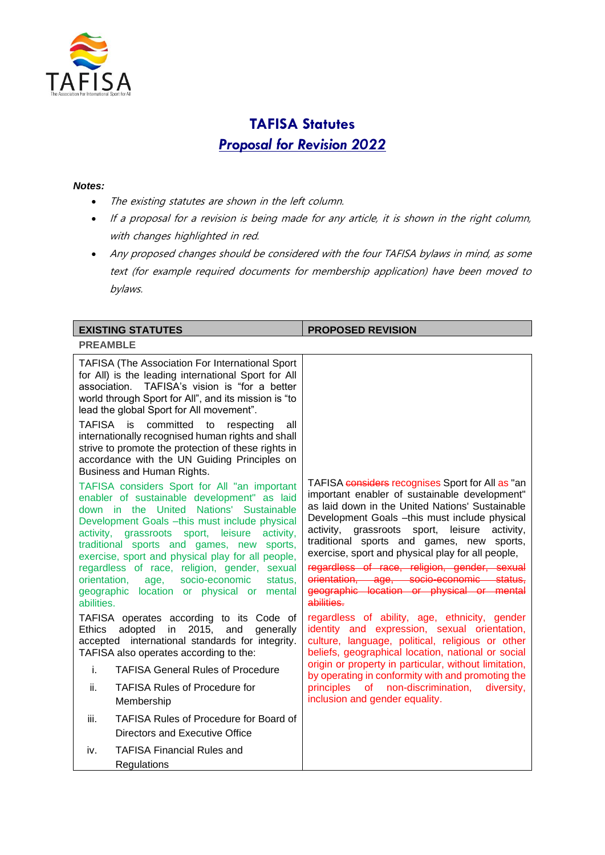

# **TAFISA Statutes** *Proposal for Revision 2022*

#### *Notes:*

- The existing statutes are shown in the left column.
- If a proposal for a revision is being made for any article, it is shown in the right column, with changes highlighted in red.
- Any proposed changes should be considered with the four TAFISA bylaws in mind, as some text (for example required documents for membership application) have been moved to bylaws.

| <b>EXISTING STATUTES</b>                                                                                                                                                                                                                                                                                                                                                                                                                                                                                                                                                                                                      | <b>PROPOSED REVISION</b>                                                                                                                                                                                                                                                                                                                                                 |
|-------------------------------------------------------------------------------------------------------------------------------------------------------------------------------------------------------------------------------------------------------------------------------------------------------------------------------------------------------------------------------------------------------------------------------------------------------------------------------------------------------------------------------------------------------------------------------------------------------------------------------|--------------------------------------------------------------------------------------------------------------------------------------------------------------------------------------------------------------------------------------------------------------------------------------------------------------------------------------------------------------------------|
| <b>PREAMBLE</b>                                                                                                                                                                                                                                                                                                                                                                                                                                                                                                                                                                                                               |                                                                                                                                                                                                                                                                                                                                                                          |
| <b>TAFISA (The Association For International Sport</b><br>for All) is the leading international Sport for All<br>TAFISA's vision is "for a better<br>association.<br>world through Sport for All", and its mission is "to<br>lead the global Sport for All movement".<br><b>TAFISA</b><br>committed<br>is<br>to<br>respecting<br>all<br>internationally recognised human rights and shall<br>strive to promote the protection of these rights in<br>accordance with the UN Guiding Principles on<br>Business and Human Rights.<br>TAFISA considers Sport for All "an important<br>enabler of sustainable development" as laid | TAFISA considers recognises Sport for All as "an<br>important enabler of sustainable development"<br>as laid down in the United Nations' Sustainable                                                                                                                                                                                                                     |
| down in the United Nations' Sustainable<br>Development Goals -this must include physical<br>activity, grassroots sport, leisure<br>activity,<br>traditional sports and games, new sports,<br>exercise, sport and physical play for all people,<br>regardless of race, religion, gender, sexual<br>orientation,<br>socio-economic<br>status,<br>age,<br>geographic location or physical or mental<br>abilities.                                                                                                                                                                                                                | Development Goals -this must include physical<br>leisure<br>activity.<br>grassroots sport,<br>activity,<br>traditional sports and games, new sports,<br>exercise, sport and physical play for all people,<br>regardless of race, religion, gender, sexual<br>orientation, age, socio-economic status,<br>geographic location or physical or mental<br>abilities.         |
| TAFISA operates according to its Code of<br>Ethics<br>adopted in 2015, and<br>generally<br>accepted international standards for integrity.<br>TAFISA also operates according to the:<br>i.<br><b>TAFISA General Rules of Procedure</b><br><b>TAFISA Rules of Procedure for</b><br>ii.                                                                                                                                                                                                                                                                                                                                         | regardless of ability, age, ethnicity, gender<br>identity and expression, sexual orientation,<br>culture, language, political, religious or other<br>beliefs, geographical location, national or social<br>origin or property in particular, without limitation,<br>by operating in conformity with and promoting the<br>principles of non-discrimination,<br>diversity, |
| Membership                                                                                                                                                                                                                                                                                                                                                                                                                                                                                                                                                                                                                    | inclusion and gender equality.                                                                                                                                                                                                                                                                                                                                           |
| <b>TAFISA Rules of Procedure for Board of</b><br>iii.<br>Directors and Executive Office                                                                                                                                                                                                                                                                                                                                                                                                                                                                                                                                       |                                                                                                                                                                                                                                                                                                                                                                          |
| <b>TAFISA Financial Rules and</b><br>iv.<br>Regulations                                                                                                                                                                                                                                                                                                                                                                                                                                                                                                                                                                       |                                                                                                                                                                                                                                                                                                                                                                          |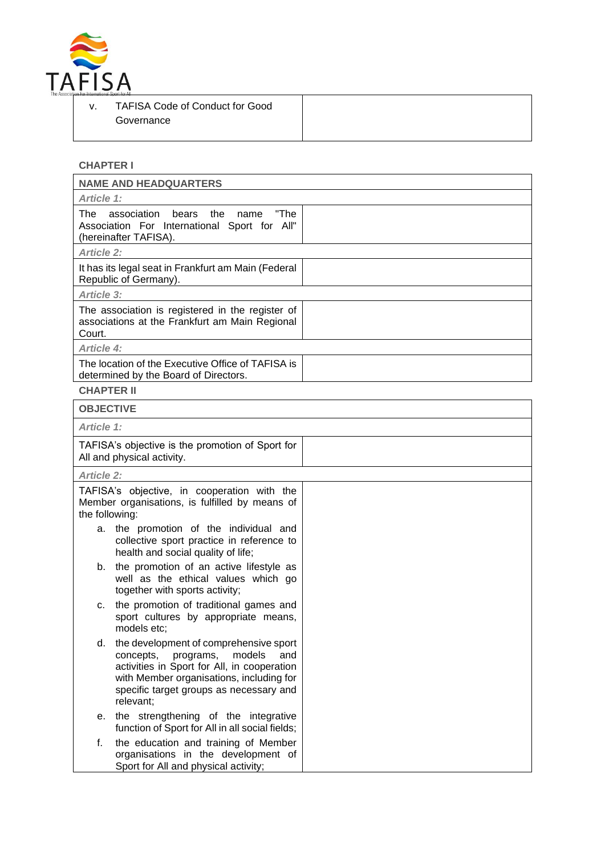

# **CHAPTER I**

|                   | <b>NAME AND HEADQUARTERS</b>                                                                                                                                                                                                         |  |
|-------------------|--------------------------------------------------------------------------------------------------------------------------------------------------------------------------------------------------------------------------------------|--|
| Article 1:        |                                                                                                                                                                                                                                      |  |
| The               | "The<br>association<br>bears<br>the<br>name<br>Association For International Sport for All"<br>(hereinafter TAFISA).                                                                                                                 |  |
| <b>Article 2:</b> |                                                                                                                                                                                                                                      |  |
|                   | It has its legal seat in Frankfurt am Main (Federal<br>Republic of Germany).                                                                                                                                                         |  |
| Article 3:        |                                                                                                                                                                                                                                      |  |
| Court.            | The association is registered in the register of<br>associations at the Frankfurt am Main Regional                                                                                                                                   |  |
| <b>Article 4:</b> |                                                                                                                                                                                                                                      |  |
|                   | The location of the Executive Office of TAFISA is<br>determined by the Board of Directors.                                                                                                                                           |  |
| <b>CHAPTER II</b> |                                                                                                                                                                                                                                      |  |
| <b>OBJECTIVE</b>  |                                                                                                                                                                                                                                      |  |
| <b>Article 1:</b> |                                                                                                                                                                                                                                      |  |
|                   | TAFISA's objective is the promotion of Sport for<br>All and physical activity.                                                                                                                                                       |  |
| <b>Article 2:</b> |                                                                                                                                                                                                                                      |  |
| the following:    | TAFISA's objective, in cooperation with the<br>Member organisations, is fulfilled by means of                                                                                                                                        |  |
| а.                | the promotion of the individual and<br>collective sport practice in reference to<br>health and social quality of life;                                                                                                               |  |
| b.                | the promotion of an active lifestyle as<br>well as the ethical values which go<br>together with sports activity;                                                                                                                     |  |
| c.                | the promotion of traditional games and<br>sport cultures by appropriate means,<br>models etc;                                                                                                                                        |  |
| d.                | the development of comprehensive sport<br>concepts,<br>programs,<br>models<br>and<br>activities in Sport for All, in cooperation<br>with Member organisations, including for<br>specific target groups as necessary and<br>relevant; |  |
| е.                | the strengthening of the integrative<br>function of Sport for All in all social fields;                                                                                                                                              |  |
| f.                | the education and training of Member<br>organisations in the development of<br>Sport for All and physical activity;                                                                                                                  |  |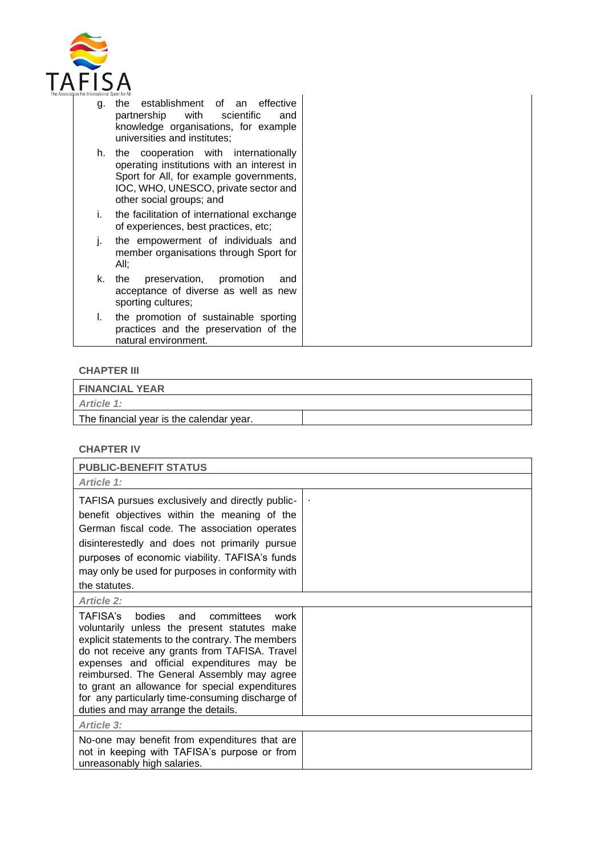

- g. the establishment of an effective partnership with scientific and knowledge organisations, for example universities and institutes;
- h. the cooperation with internationally operating institutions with an interest in Sport for All, for example governments, IOC, WHO, UNESCO, private sector and other social groups; and
- i. the facilitation of international exchange of experiences, best practices, etc;
- j. the empowerment of individuals and member organisations through Sport for All;
- k. the preservation, promotion and acceptance of diverse as well as new sporting cultures;
- l. the promotion of sustainable sporting practices and the preservation of the natural environment.

### **CHAPTER III**

**FINANCIAL YEAR** *Article 1:* The financial year is the calendar year.

#### **CHAPTER IV**

| <b>PUBLIC-BENEFIT STATUS</b>                                                                                                                                                                                                                                                                                                                                                                                                              |  |
|-------------------------------------------------------------------------------------------------------------------------------------------------------------------------------------------------------------------------------------------------------------------------------------------------------------------------------------------------------------------------------------------------------------------------------------------|--|
| Article 1:                                                                                                                                                                                                                                                                                                                                                                                                                                |  |
| TAFISA pursues exclusively and directly public-<br>benefit objectives within the meaning of the<br>German fiscal code. The association operates<br>disinterestedly and does not primarily pursue<br>purposes of economic viability. TAFISA's funds<br>may only be used for purposes in conformity with<br>the statutes.                                                                                                                   |  |
| <b>Article 2:</b>                                                                                                                                                                                                                                                                                                                                                                                                                         |  |
| TAFISA's<br>bodies and<br>committees<br>work<br>voluntarily unless the present statutes make<br>explicit statements to the contrary. The members<br>do not receive any grants from TAFISA. Travel<br>expenses and official expenditures may be<br>reimbursed. The General Assembly may agree<br>to grant an allowance for special expenditures<br>for any particularly time-consuming discharge of<br>duties and may arrange the details. |  |
| <b>Article 3:</b>                                                                                                                                                                                                                                                                                                                                                                                                                         |  |
| No-one may benefit from expenditures that are<br>not in keeping with TAFISA's purpose or from<br>unreasonably high salaries.                                                                                                                                                                                                                                                                                                              |  |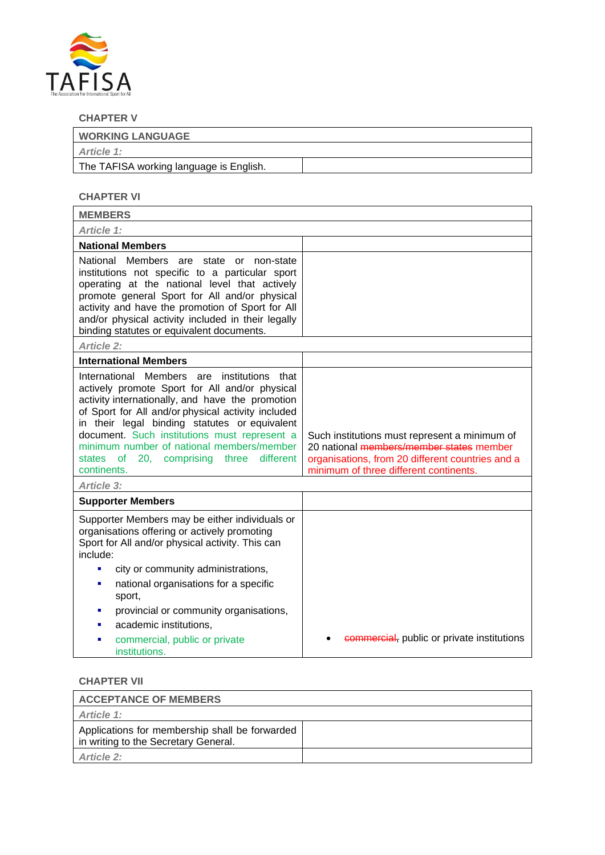

# **CHAPTER V**

| <b>WORKING LANGUAGE</b>                 |  |
|-----------------------------------------|--|
| Article 1:                              |  |
| The TAFISA working language is English. |  |

# **CHAPTER VI**

| <b>MEMBERS</b>                                                                                                                                                                                                                                                                                                                                                                                                            |                                                                                                                                                                                         |
|---------------------------------------------------------------------------------------------------------------------------------------------------------------------------------------------------------------------------------------------------------------------------------------------------------------------------------------------------------------------------------------------------------------------------|-----------------------------------------------------------------------------------------------------------------------------------------------------------------------------------------|
| Article 1:                                                                                                                                                                                                                                                                                                                                                                                                                |                                                                                                                                                                                         |
| <b>National Members</b>                                                                                                                                                                                                                                                                                                                                                                                                   |                                                                                                                                                                                         |
| National Members<br>are state or non-state<br>institutions not specific to a particular sport<br>operating at the national level that actively<br>promote general Sport for All and/or physical<br>activity and have the promotion of Sport for All<br>and/or physical activity included in their legally<br>binding statutes or equivalent documents.                                                                    |                                                                                                                                                                                         |
| <b>Article 2:</b>                                                                                                                                                                                                                                                                                                                                                                                                         |                                                                                                                                                                                         |
| <b>International Members</b>                                                                                                                                                                                                                                                                                                                                                                                              |                                                                                                                                                                                         |
| International Members are<br>institutions<br>that<br>actively promote Sport for All and/or physical<br>activity internationally, and have the promotion<br>of Sport for All and/or physical activity included<br>in their legal binding statutes or equivalent<br>document. Such institutions must represent a<br>minimum number of national members/member<br>different<br>states of 20, comprising three<br>continents. | Such institutions must represent a minimum of<br>20 national members/member states member<br>organisations, from 20 different countries and a<br>minimum of three different continents. |
| Article 3:                                                                                                                                                                                                                                                                                                                                                                                                                |                                                                                                                                                                                         |
| <b>Supporter Members</b>                                                                                                                                                                                                                                                                                                                                                                                                  |                                                                                                                                                                                         |
| Supporter Members may be either individuals or<br>organisations offering or actively promoting<br>Sport for All and/or physical activity. This can<br>include:<br>city or community administrations,<br>٠<br>national organisations for a specific<br>٠<br>sport,<br>provincial or community organisations,<br>٠                                                                                                          |                                                                                                                                                                                         |
| academic institutions.<br>٠                                                                                                                                                                                                                                                                                                                                                                                               |                                                                                                                                                                                         |
| commercial, public or private<br>a,<br>institutions.                                                                                                                                                                                                                                                                                                                                                                      | commercial, public or private institutions                                                                                                                                              |

### **CHAPTER VII**

| <b>ACCEPTANCE OF MEMBERS</b>                                                           |  |
|----------------------------------------------------------------------------------------|--|
| Article 1:                                                                             |  |
| Applications for membership shall be forwarded<br>in writing to the Secretary General. |  |
| Article 2:                                                                             |  |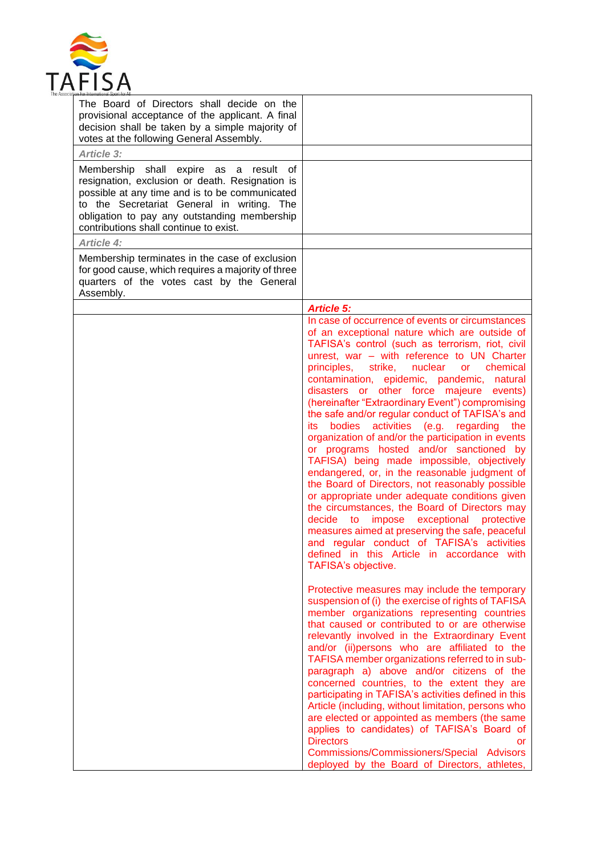

| <b>Article 5:</b>                                                                                                                                                                                                                                                                                                                                                                                                                                                                                                                                                                                                                                                                                                                                                                                                                                                                                                                                                                                                                                                                                      |
|--------------------------------------------------------------------------------------------------------------------------------------------------------------------------------------------------------------------------------------------------------------------------------------------------------------------------------------------------------------------------------------------------------------------------------------------------------------------------------------------------------------------------------------------------------------------------------------------------------------------------------------------------------------------------------------------------------------------------------------------------------------------------------------------------------------------------------------------------------------------------------------------------------------------------------------------------------------------------------------------------------------------------------------------------------------------------------------------------------|
| In case of occurrence of events or circumstances<br>of an exceptional nature which are outside of<br>TAFISA's control (such as terrorism, riot, civil<br>unrest, war - with reference to UN Charter<br>principles,<br>strike,<br>nuclear<br>chemical<br>or<br>contamination, epidemic, pandemic, natural<br>disasters or other force majeure events)<br>(hereinafter "Extraordinary Event") compromising<br>the safe and/or regular conduct of TAFISA's and<br>bodies<br>activities (e.g. regarding<br>the<br>its.<br>organization of and/or the participation in events<br>or programs hosted and/or sanctioned by<br>TAFISA) being made impossible, objectively<br>endangered, or, in the reasonable judgment of<br>the Board of Directors, not reasonably possible<br>or appropriate under adequate conditions given<br>the circumstances, the Board of Directors may<br>impose exceptional protective<br>decide<br><b>to</b><br>measures aimed at preserving the safe, peaceful<br>and regular conduct of TAFISA's activities<br>defined in this Article in accordance with<br>TAFISA's objective. |
| Protective measures may include the temporary<br>suspension of (i) the exercise of rights of TAFISA<br>member organizations representing countries<br>that caused or contributed to or are otherwise<br>relevantly involved in the Extraordinary Event<br>and/or (ii)persons who are affiliated to the<br>TAFISA member organizations referred to in sub-<br>paragraph a) above and/or citizens of the<br>concerned countries, to the extent they are<br>participating in TAFISA's activities defined in this<br>Article (including, without limitation, persons who<br>are elected or appointed as members (the same<br>applies to candidates) of TAFISA's Board of<br><b>Directors</b><br>or<br>Commissions/Commissioners/Special Advisors                                                                                                                                                                                                                                                                                                                                                           |
| provisional acceptance of the applicant. A final<br>decision shall be taken by a simple majority of<br>Membership shall expire as a result of<br>resignation, exclusion or death. Resignation is<br>possible at any time and is to be communicated<br>to the Secretariat General in writing. The<br>obligation to pay any outstanding membership<br>Membership terminates in the case of exclusion<br>for good cause, which requires a majority of three<br>quarters of the votes cast by the General                                                                                                                                                                                                                                                                                                                                                                                                                                                                                                                                                                                                  |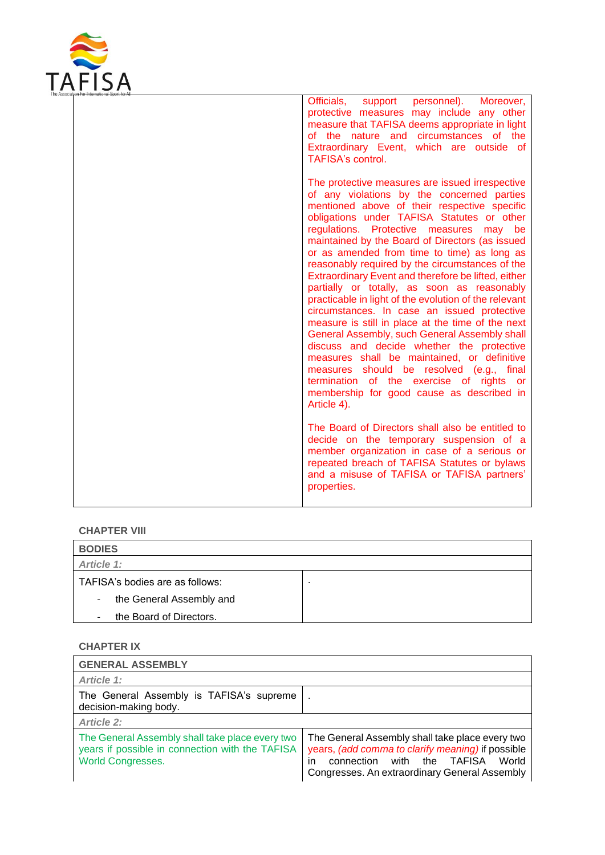

|  | Officials,<br>personnel). Moreover,<br>support<br>protective measures may include any other<br>measure that TAFISA deems appropriate in light<br>of the nature and circumstances of the<br>Extraordinary Event, which are outside of<br>TAFISA's control.                                                                                                                                                                                                                                                                                                                                                                                                                                                                                                                                                                                                                                                                                                          |
|--|--------------------------------------------------------------------------------------------------------------------------------------------------------------------------------------------------------------------------------------------------------------------------------------------------------------------------------------------------------------------------------------------------------------------------------------------------------------------------------------------------------------------------------------------------------------------------------------------------------------------------------------------------------------------------------------------------------------------------------------------------------------------------------------------------------------------------------------------------------------------------------------------------------------------------------------------------------------------|
|  | The protective measures are issued irrespective<br>of any violations by the concerned parties<br>mentioned above of their respective specific<br>obligations under TAFISA Statutes or other<br>regulations. Protective measures<br>may be<br>maintained by the Board of Directors (as issued<br>or as amended from time to time) as long as<br>reasonably required by the circumstances of the<br>Extraordinary Event and therefore be lifted, either<br>partially or totally, as soon as reasonably<br>practicable in light of the evolution of the relevant<br>circumstances. In case an issued protective<br>measure is still in place at the time of the next<br>General Assembly, such General Assembly shall<br>discuss and decide whether the protective<br>measures shall be maintained, or definitive<br>measures should be resolved (e.g., final<br>termination of the exercise of rights or<br>membership for good cause as described in<br>Article 4). |
|  | The Board of Directors shall also be entitled to<br>decide on the temporary suspension of a<br>member organization in case of a serious or<br>repeated breach of TAFISA Statutes or bylaws<br>and a misuse of TAFISA or TAFISA partners'<br>properties.                                                                                                                                                                                                                                                                                                                                                                                                                                                                                                                                                                                                                                                                                                            |

### **CHAPTER VIII**

| <b>BODIES</b>                      |  |
|------------------------------------|--|
| Article 1:                         |  |
| TAFISA's bodies are as follows:    |  |
| the General Assembly and<br>$\sim$ |  |
| the Board of Directors.            |  |

# **CHAPTER IX**

| <b>GENERAL ASSEMBLY</b>                                                                                                        |                                                                                                                                                                                                    |
|--------------------------------------------------------------------------------------------------------------------------------|----------------------------------------------------------------------------------------------------------------------------------------------------------------------------------------------------|
| Article 1:                                                                                                                     |                                                                                                                                                                                                    |
| The General Assembly is TAFISA's supreme<br>decision-making body.                                                              | $\bullet$                                                                                                                                                                                          |
| <b>Article 2:</b>                                                                                                              |                                                                                                                                                                                                    |
| The General Assembly shall take place every two<br>years if possible in connection with the TAFISA<br><b>World Congresses.</b> | The General Assembly shall take place every two<br>years, (add comma to clarify meaning) if possible<br>connection with the TAFISA<br>World<br>in<br>Congresses. An extraordinary General Assembly |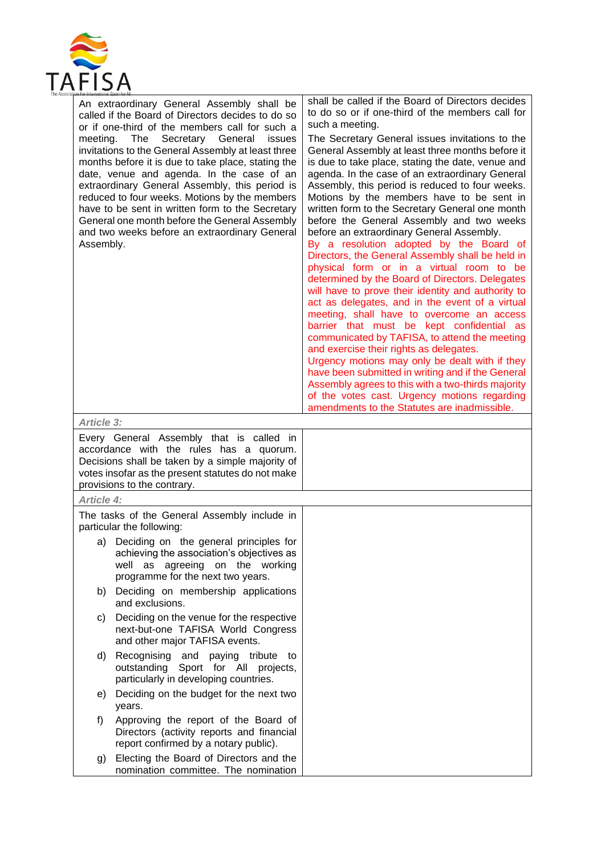

| meeting.<br>Assembly. | An extraordinary General Assembly shall be<br>called if the Board of Directors decides to do so<br>or if one-third of the members call for such a<br>The<br>Secretary General<br>issues<br>invitations to the General Assembly at least three<br>months before it is due to take place, stating the<br>date, venue and agenda. In the case of an<br>extraordinary General Assembly, this period is<br>reduced to four weeks. Motions by the members<br>have to be sent in written form to the Secretary<br>General one month before the General Assembly<br>and two weeks before an extraordinary General | shall be called if the Board of Directors decides<br>to do so or if one-third of the members call for<br>such a meeting.<br>The Secretary General issues invitations to the<br>General Assembly at least three months before it<br>is due to take place, stating the date, venue and<br>agenda. In the case of an extraordinary General<br>Assembly, this period is reduced to four weeks.<br>Motions by the members have to be sent in<br>written form to the Secretary General one month<br>before the General Assembly and two weeks<br>before an extraordinary General Assembly.<br>By a resolution adopted by the Board of<br>Directors, the General Assembly shall be held in<br>physical form or in a virtual room to be<br>determined by the Board of Directors. Delegates<br>will have to prove their identity and authority to<br>act as delegates, and in the event of a virtual<br>meeting, shall have to overcome an access<br>barrier that must be kept confidential as<br>communicated by TAFISA, to attend the meeting<br>and exercise their rights as delegates.<br>Urgency motions may only be dealt with if they<br>have been submitted in writing and if the General<br>Assembly agrees to this with a two-thirds majority<br>of the votes cast. Urgency motions regarding<br>amendments to the Statutes are inadmissible. |
|-----------------------|-----------------------------------------------------------------------------------------------------------------------------------------------------------------------------------------------------------------------------------------------------------------------------------------------------------------------------------------------------------------------------------------------------------------------------------------------------------------------------------------------------------------------------------------------------------------------------------------------------------|------------------------------------------------------------------------------------------------------------------------------------------------------------------------------------------------------------------------------------------------------------------------------------------------------------------------------------------------------------------------------------------------------------------------------------------------------------------------------------------------------------------------------------------------------------------------------------------------------------------------------------------------------------------------------------------------------------------------------------------------------------------------------------------------------------------------------------------------------------------------------------------------------------------------------------------------------------------------------------------------------------------------------------------------------------------------------------------------------------------------------------------------------------------------------------------------------------------------------------------------------------------------------------------------------------------------------------------------|
| <b>Article 3:</b>     |                                                                                                                                                                                                                                                                                                                                                                                                                                                                                                                                                                                                           |                                                                                                                                                                                                                                                                                                                                                                                                                                                                                                                                                                                                                                                                                                                                                                                                                                                                                                                                                                                                                                                                                                                                                                                                                                                                                                                                                |
|                       | Every General Assembly that is called in<br>accordance with the rules has a quorum.<br>Decisions shall be taken by a simple majority of<br>votes insofar as the present statutes do not make<br>provisions to the contrary.                                                                                                                                                                                                                                                                                                                                                                               |                                                                                                                                                                                                                                                                                                                                                                                                                                                                                                                                                                                                                                                                                                                                                                                                                                                                                                                                                                                                                                                                                                                                                                                                                                                                                                                                                |
| <b>Article 4:</b>     |                                                                                                                                                                                                                                                                                                                                                                                                                                                                                                                                                                                                           |                                                                                                                                                                                                                                                                                                                                                                                                                                                                                                                                                                                                                                                                                                                                                                                                                                                                                                                                                                                                                                                                                                                                                                                                                                                                                                                                                |
|                       | The tasks of the General Assembly include in<br>particular the following:                                                                                                                                                                                                                                                                                                                                                                                                                                                                                                                                 |                                                                                                                                                                                                                                                                                                                                                                                                                                                                                                                                                                                                                                                                                                                                                                                                                                                                                                                                                                                                                                                                                                                                                                                                                                                                                                                                                |
|                       | a) Deciding on the general principles for<br>achieving the association's objectives as<br>well as agreeing on the working<br>programme for the next two years.                                                                                                                                                                                                                                                                                                                                                                                                                                            |                                                                                                                                                                                                                                                                                                                                                                                                                                                                                                                                                                                                                                                                                                                                                                                                                                                                                                                                                                                                                                                                                                                                                                                                                                                                                                                                                |
| b)                    | Deciding on membership applications<br>and exclusions.                                                                                                                                                                                                                                                                                                                                                                                                                                                                                                                                                    |                                                                                                                                                                                                                                                                                                                                                                                                                                                                                                                                                                                                                                                                                                                                                                                                                                                                                                                                                                                                                                                                                                                                                                                                                                                                                                                                                |
| C)                    | Deciding on the venue for the respective<br>next-but-one TAFISA World Congress<br>and other major TAFISA events.                                                                                                                                                                                                                                                                                                                                                                                                                                                                                          |                                                                                                                                                                                                                                                                                                                                                                                                                                                                                                                                                                                                                                                                                                                                                                                                                                                                                                                                                                                                                                                                                                                                                                                                                                                                                                                                                |
|                       | d) Recognising and paying tribute to<br>outstanding Sport for All projects,<br>particularly in developing countries.                                                                                                                                                                                                                                                                                                                                                                                                                                                                                      |                                                                                                                                                                                                                                                                                                                                                                                                                                                                                                                                                                                                                                                                                                                                                                                                                                                                                                                                                                                                                                                                                                                                                                                                                                                                                                                                                |
| e)                    | Deciding on the budget for the next two<br>years.                                                                                                                                                                                                                                                                                                                                                                                                                                                                                                                                                         |                                                                                                                                                                                                                                                                                                                                                                                                                                                                                                                                                                                                                                                                                                                                                                                                                                                                                                                                                                                                                                                                                                                                                                                                                                                                                                                                                |
| f)                    | Approving the report of the Board of<br>Directors (activity reports and financial<br>report confirmed by a notary public).                                                                                                                                                                                                                                                                                                                                                                                                                                                                                |                                                                                                                                                                                                                                                                                                                                                                                                                                                                                                                                                                                                                                                                                                                                                                                                                                                                                                                                                                                                                                                                                                                                                                                                                                                                                                                                                |
| g)                    | Electing the Board of Directors and the<br>nomination committee. The nomination                                                                                                                                                                                                                                                                                                                                                                                                                                                                                                                           |                                                                                                                                                                                                                                                                                                                                                                                                                                                                                                                                                                                                                                                                                                                                                                                                                                                                                                                                                                                                                                                                                                                                                                                                                                                                                                                                                |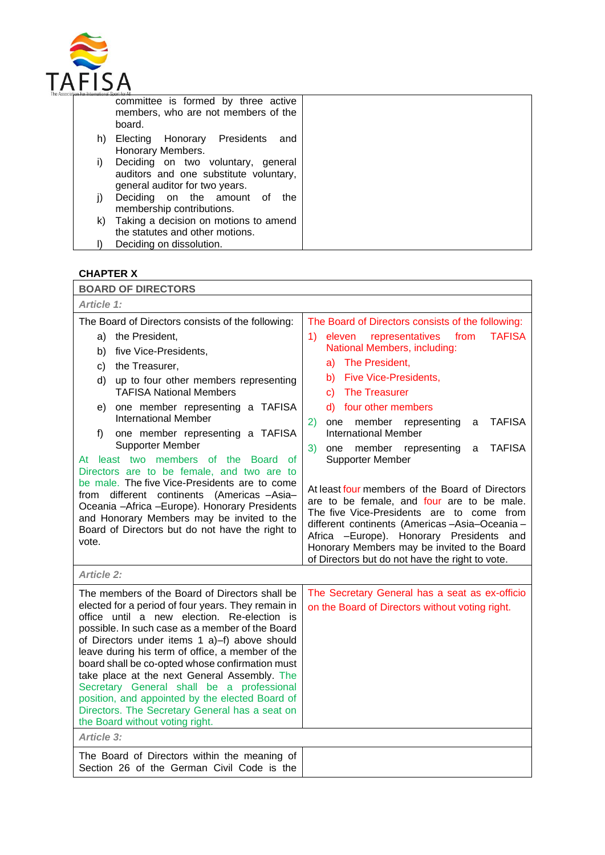

|    | committee is formed by three active<br>members, who are not members of the<br>board.                           |
|----|----------------------------------------------------------------------------------------------------------------|
| h) | Electing Honorary Presidents<br>and<br>Honorary Members.                                                       |
| i) | Deciding on two voluntary, general<br>auditors and one substitute voluntary,<br>general auditor for two years. |
| I) | Deciding on the amount of<br>the<br>membership contributions.                                                  |
| k) | Taking a decision on motions to amend                                                                          |
|    | the statutes and other motions.                                                                                |
|    | Deciding on dissolution.                                                                                       |

# **CHAPTER X**

| <b>BOARD OF DIRECTORS</b>                                                                                                                                                                                                                                                                                                                                                                                                                                                                                                                                                                                                                                                                                        |                                                                                                                                                                                                                                                                                                                                                                                                                                                                                                                                                                                                                                                                                                                                                                                            |
|------------------------------------------------------------------------------------------------------------------------------------------------------------------------------------------------------------------------------------------------------------------------------------------------------------------------------------------------------------------------------------------------------------------------------------------------------------------------------------------------------------------------------------------------------------------------------------------------------------------------------------------------------------------------------------------------------------------|--------------------------------------------------------------------------------------------------------------------------------------------------------------------------------------------------------------------------------------------------------------------------------------------------------------------------------------------------------------------------------------------------------------------------------------------------------------------------------------------------------------------------------------------------------------------------------------------------------------------------------------------------------------------------------------------------------------------------------------------------------------------------------------------|
| Article 1:                                                                                                                                                                                                                                                                                                                                                                                                                                                                                                                                                                                                                                                                                                       |                                                                                                                                                                                                                                                                                                                                                                                                                                                                                                                                                                                                                                                                                                                                                                                            |
| The Board of Directors consists of the following:<br>the President,<br>a)<br>five Vice-Presidents,<br>b)<br>the Treasurer,<br>C)<br>d)<br>up to four other members representing<br><b>TAFISA National Members</b><br>one member representing a TAFISA<br>e)<br><b>International Member</b><br>one member representing a TAFISA<br>f)<br>Supporter Member<br>At least two members of the Board<br>of<br>Directors are to be female, and two are to<br>be male. The five Vice-Presidents are to come<br>different continents (Americas -Asia-<br>from<br>Oceania - Africa - Europe). Honorary Presidents<br>and Honorary Members may be invited to the<br>Board of Directors but do not have the right to<br>vote. | The Board of Directors consists of the following:<br>representatives<br>from<br><b>TAFISA</b><br>1)<br>eleven<br>National Members, including:<br>The President,<br>a)<br><b>Five Vice-Presidents,</b><br>b)<br><b>The Treasurer</b><br>C)<br>d) four other members<br>TAFISA<br>2)<br>member<br>one<br>representing<br>a<br><b>International Member</b><br>3)<br><b>TAFISA</b><br>member representing<br>one<br>a<br>Supporter Member<br>At least four members of the Board of Directors<br>are to be female, and four are to be male.<br>The five Vice-Presidents are to come from<br>different continents (Americas - Asia - Oceania -<br>Africa -Europe). Honorary Presidents<br>and<br>Honorary Members may be invited to the Board<br>of Directors but do not have the right to vote. |
| <b>Article 2:</b>                                                                                                                                                                                                                                                                                                                                                                                                                                                                                                                                                                                                                                                                                                |                                                                                                                                                                                                                                                                                                                                                                                                                                                                                                                                                                                                                                                                                                                                                                                            |
| The members of the Board of Directors shall be<br>elected for a period of four years. They remain in<br>office until a new election. Re-election is<br>possible. In such case as a member of the Board<br>of Directors under items 1 a)-f) above should<br>leave during his term of office, a member of the<br>board shall be co-opted whose confirmation must<br>take place at the next General Assembly. The<br>Secretary General shall be a professional<br>position, and appointed by the elected Board of<br>Directors. The Secretary General has a seat on<br>the Board without voting right.                                                                                                              | The Secretary General has a seat as ex-officio<br>on the Board of Directors without voting right.                                                                                                                                                                                                                                                                                                                                                                                                                                                                                                                                                                                                                                                                                          |
| Article 3:                                                                                                                                                                                                                                                                                                                                                                                                                                                                                                                                                                                                                                                                                                       |                                                                                                                                                                                                                                                                                                                                                                                                                                                                                                                                                                                                                                                                                                                                                                                            |
| The Board of Directors within the meaning of<br>Section 26 of the German Civil Code is the                                                                                                                                                                                                                                                                                                                                                                                                                                                                                                                                                                                                                       |                                                                                                                                                                                                                                                                                                                                                                                                                                                                                                                                                                                                                                                                                                                                                                                            |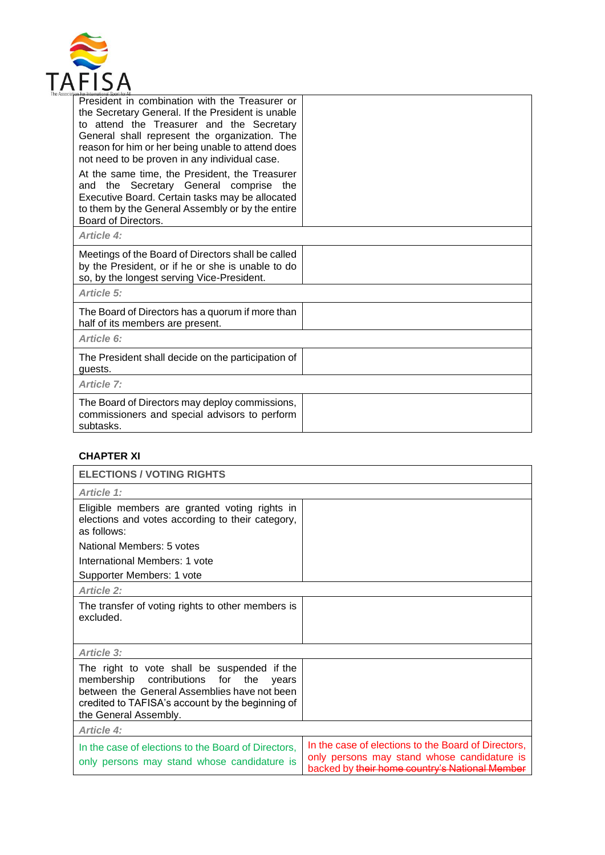

| President in combination with the Treasurer or<br>the Secretary General. If the President is unable<br>to attend the Treasurer and the Secretary<br>General shall represent the organization. The<br>reason for him or her being unable to attend does<br>not need to be proven in any individual case. |  |
|---------------------------------------------------------------------------------------------------------------------------------------------------------------------------------------------------------------------------------------------------------------------------------------------------------|--|
| At the same time, the President, the Treasurer<br>Secretary General comprise the<br>the<br>and<br>Executive Board. Certain tasks may be allocated<br>to them by the General Assembly or by the entire<br>Board of Directors.                                                                            |  |
| Article 4:                                                                                                                                                                                                                                                                                              |  |
| Meetings of the Board of Directors shall be called<br>by the President, or if he or she is unable to do<br>so, by the longest serving Vice-President.                                                                                                                                                   |  |
| Article 5:                                                                                                                                                                                                                                                                                              |  |
| The Board of Directors has a quorum if more than<br>half of its members are present.                                                                                                                                                                                                                    |  |
| Article 6:                                                                                                                                                                                                                                                                                              |  |
| The President shall decide on the participation of<br>guests.                                                                                                                                                                                                                                           |  |
| <b>Article 7:</b>                                                                                                                                                                                                                                                                                       |  |
| The Board of Directors may deploy commissions,<br>commissioners and special advisors to perform<br>subtasks.                                                                                                                                                                                            |  |

# **CHAPTER XI**

| <b>ELECTIONS / VOTING RIGHTS</b>                                                                                                                                                                                            |                                                                                                                                           |
|-----------------------------------------------------------------------------------------------------------------------------------------------------------------------------------------------------------------------------|-------------------------------------------------------------------------------------------------------------------------------------------|
| Article 1:                                                                                                                                                                                                                  |                                                                                                                                           |
| Eligible members are granted voting rights in<br>elections and votes according to their category,<br>as follows:                                                                                                            |                                                                                                                                           |
| National Members: 5 votes                                                                                                                                                                                                   |                                                                                                                                           |
| International Members: 1 vote                                                                                                                                                                                               |                                                                                                                                           |
| Supporter Members: 1 vote                                                                                                                                                                                                   |                                                                                                                                           |
| <b>Article 2:</b>                                                                                                                                                                                                           |                                                                                                                                           |
| The transfer of voting rights to other members is<br>excluded.                                                                                                                                                              |                                                                                                                                           |
| Article 3:                                                                                                                                                                                                                  |                                                                                                                                           |
| The right to vote shall be suspended if the<br>for<br>membership contributions<br>the<br>vears<br>between the General Assemblies have not been<br>credited to TAFISA's account by the beginning of<br>the General Assembly. |                                                                                                                                           |
| Article 4:                                                                                                                                                                                                                  |                                                                                                                                           |
| In the case of elections to the Board of Directors.<br>only persons may stand whose candidature is                                                                                                                          | In the case of elections to the Board of Directors.<br>only persons may stand whose candidature is<br>backed by their home country's Nati |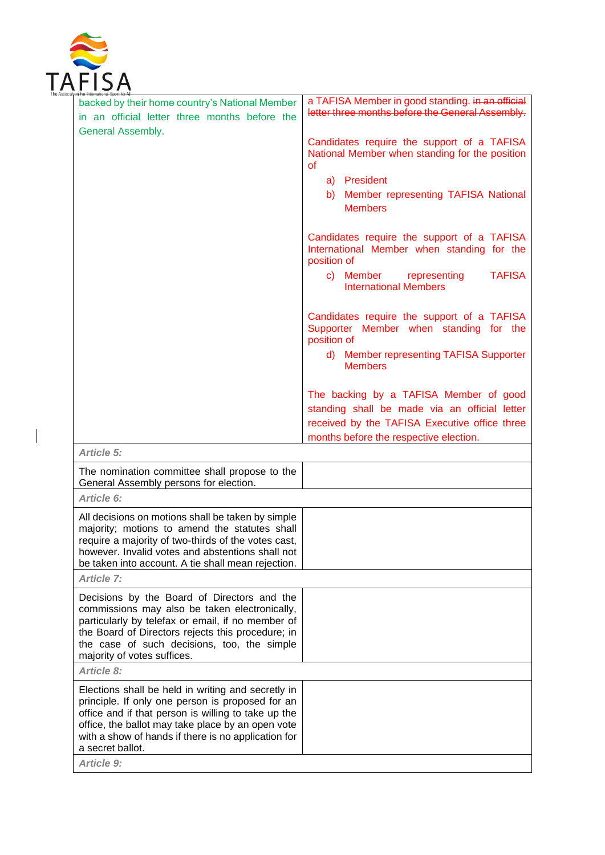

 $\overline{\phantom{a}}$ 

| backed by their home country's National Member<br>in an official letter three months before the                                                                                                                                                                                                             | a TAFISA Member in good standing. in an official<br>letter three months before the General Assembly.                                                                               |
|-------------------------------------------------------------------------------------------------------------------------------------------------------------------------------------------------------------------------------------------------------------------------------------------------------------|------------------------------------------------------------------------------------------------------------------------------------------------------------------------------------|
| General Assembly.                                                                                                                                                                                                                                                                                           | Candidates require the support of a TAFISA<br>National Member when standing for the position<br>οf<br>a) President<br>b) Member representing TAFISA National<br><b>Members</b>     |
|                                                                                                                                                                                                                                                                                                             | Candidates require the support of a TAFISA<br>International Member when standing for the<br>position of                                                                            |
|                                                                                                                                                                                                                                                                                                             | <b>TAFISA</b><br>c) Member<br>representing<br><b>International Members</b>                                                                                                         |
|                                                                                                                                                                                                                                                                                                             | Candidates require the support of a TAFISA<br>Supporter Member when standing for the<br>position of<br>d) Member representing TAFISA Supporter                                     |
|                                                                                                                                                                                                                                                                                                             | <b>Members</b>                                                                                                                                                                     |
|                                                                                                                                                                                                                                                                                                             | The backing by a TAFISA Member of good<br>standing shall be made via an official letter<br>received by the TAFISA Executive office three<br>months before the respective election. |
| Article 5:                                                                                                                                                                                                                                                                                                  |                                                                                                                                                                                    |
| The nomination committee shall propose to the<br>General Assembly persons for election.                                                                                                                                                                                                                     |                                                                                                                                                                                    |
| Article 6:                                                                                                                                                                                                                                                                                                  |                                                                                                                                                                                    |
| All decisions on motions shall be taken by simple<br>majority; motions to amend the statutes shall<br>require a majority of two-thirds of the votes cast,<br>however. Invalid votes and abstentions shall not<br>be taken into account. A tie shall mean rejection.                                         |                                                                                                                                                                                    |
| <b>Article 7:</b>                                                                                                                                                                                                                                                                                           |                                                                                                                                                                                    |
| Decisions by the Board of Directors and the<br>commissions may also be taken electronically,<br>particularly by telefax or email, if no member of<br>the Board of Directors rejects this procedure; in<br>the case of such decisions, too, the simple<br>majority of votes suffices.                        |                                                                                                                                                                                    |
| <b>Article 8:</b>                                                                                                                                                                                                                                                                                           |                                                                                                                                                                                    |
| Elections shall be held in writing and secretly in<br>principle. If only one person is proposed for an<br>office and if that person is willing to take up the<br>office, the ballot may take place by an open vote<br>with a show of hands if there is no application for<br>a secret ballot.<br>Article 9: |                                                                                                                                                                                    |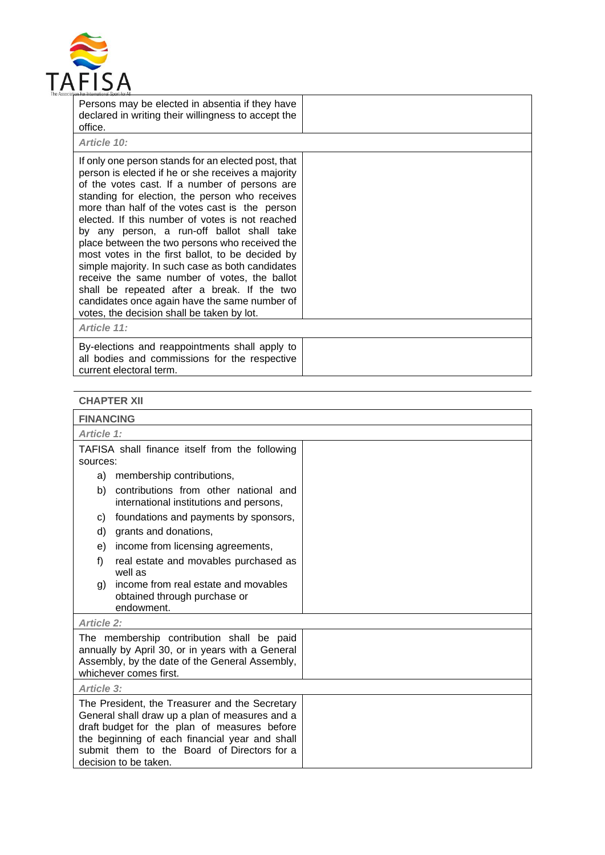

| Persons may be elected in absentia if they have<br>declared in writing their willingness to accept the<br>office.                                                                                                                                                                                                                                                                                                                                                                                                                                                                                                                                                                                                       |  |
|-------------------------------------------------------------------------------------------------------------------------------------------------------------------------------------------------------------------------------------------------------------------------------------------------------------------------------------------------------------------------------------------------------------------------------------------------------------------------------------------------------------------------------------------------------------------------------------------------------------------------------------------------------------------------------------------------------------------------|--|
| Article 10:                                                                                                                                                                                                                                                                                                                                                                                                                                                                                                                                                                                                                                                                                                             |  |
| If only one person stands for an elected post, that<br>person is elected if he or she receives a majority<br>of the votes cast. If a number of persons are<br>standing for election, the person who receives<br>more than half of the votes cast is the person<br>elected. If this number of votes is not reached<br>by any person, a run-off ballot shall take<br>place between the two persons who received the<br>most votes in the first ballot, to be decided by<br>simple majority. In such case as both candidates<br>receive the same number of votes, the ballot<br>shall be repeated after a break. If the two<br>candidates once again have the same number of<br>votes, the decision shall be taken by lot. |  |
| Article 11:                                                                                                                                                                                                                                                                                                                                                                                                                                                                                                                                                                                                                                                                                                             |  |
| By-elections and reappointments shall apply to<br>all bodies and commissions for the respective<br>current electoral term.                                                                                                                                                                                                                                                                                                                                                                                                                                                                                                                                                                                              |  |

# **CHAPTER XII**

| <b>FINANCING</b>                                                                                                                                                                                                                                                           |  |
|----------------------------------------------------------------------------------------------------------------------------------------------------------------------------------------------------------------------------------------------------------------------------|--|
| Article 1:                                                                                                                                                                                                                                                                 |  |
| TAFISA shall finance itself from the following<br>sources:                                                                                                                                                                                                                 |  |
| membership contributions,<br>a)                                                                                                                                                                                                                                            |  |
| contributions from other national and<br>b)<br>international institutions and persons,                                                                                                                                                                                     |  |
| foundations and payments by sponsors,<br>C)                                                                                                                                                                                                                                |  |
| grants and donations,<br>d)                                                                                                                                                                                                                                                |  |
| income from licensing agreements,<br>e)                                                                                                                                                                                                                                    |  |
| f)<br>real estate and movables purchased as<br>well as                                                                                                                                                                                                                     |  |
| income from real estate and movables<br>g)<br>obtained through purchase or<br>endowment.                                                                                                                                                                                   |  |
| <b>Article 2:</b>                                                                                                                                                                                                                                                          |  |
| The membership contribution shall be paid<br>annually by April 30, or in years with a General<br>Assembly, by the date of the General Assembly,<br>whichever comes first.                                                                                                  |  |
| Article 3:                                                                                                                                                                                                                                                                 |  |
| The President, the Treasurer and the Secretary<br>General shall draw up a plan of measures and a<br>draft budget for the plan of measures before<br>the beginning of each financial year and shall<br>submit them to the Board of Directors for a<br>decision to be taken. |  |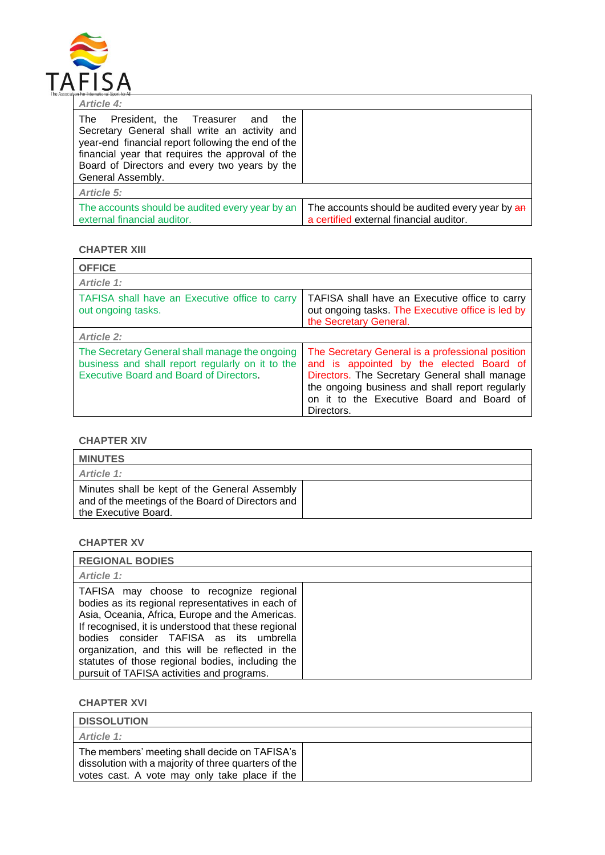

| <b>Article 4:</b>                                                                                                                                                                                                                                                                     |                                                                                            |
|---------------------------------------------------------------------------------------------------------------------------------------------------------------------------------------------------------------------------------------------------------------------------------------|--------------------------------------------------------------------------------------------|
| <b>The</b><br>President, the Treasurer<br>the<br>and<br>Secretary General shall write an activity and<br>year-end financial report following the end of the<br>financial year that requires the approval of the<br>Board of Directors and every two years by the<br>General Assembly. |                                                                                            |
| <b>Article 5:</b>                                                                                                                                                                                                                                                                     |                                                                                            |
| The accounts should be audited every year by an<br>external financial auditor.                                                                                                                                                                                                        | The accounts should be audited every year by an<br>a certified external financial auditor. |

### **CHAPTER XIII**

| <b>OFFICE</b>                                                                                                                                        |                                                                                                                                                                                                                                                             |  |
|------------------------------------------------------------------------------------------------------------------------------------------------------|-------------------------------------------------------------------------------------------------------------------------------------------------------------------------------------------------------------------------------------------------------------|--|
| Article 1:                                                                                                                                           |                                                                                                                                                                                                                                                             |  |
| TAFISA shall have an Executive office to carry<br>out ongoing tasks.                                                                                 | TAFISA shall have an Executive office to carry<br>out ongoing tasks. The Executive office is led by<br>the Secretary General.                                                                                                                               |  |
| <b>Article 2:</b>                                                                                                                                    |                                                                                                                                                                                                                                                             |  |
| The Secretary General shall manage the ongoing<br>business and shall report regularly on it to the<br><b>Executive Board and Board of Directors.</b> | The Secretary General is a professional position<br>and is appointed by the elected Board of<br>Directors. The Secretary General shall manage<br>the ongoing business and shall report regularly<br>on it to the Executive Board and Board of<br>Directors. |  |

# **CHAPTER XIV**

| <b>MINUTES</b>                                                                                                             |  |
|----------------------------------------------------------------------------------------------------------------------------|--|
| Article 1:                                                                                                                 |  |
| Minutes shall be kept of the General Assembly<br>and of the meetings of the Board of Directors and<br>the Executive Board. |  |

# **CHAPTER XV**

| <b>REGIONAL BODIES</b>                                                                                                                                                                                                                                                                                                                                                                                |  |
|-------------------------------------------------------------------------------------------------------------------------------------------------------------------------------------------------------------------------------------------------------------------------------------------------------------------------------------------------------------------------------------------------------|--|
| Article 1:                                                                                                                                                                                                                                                                                                                                                                                            |  |
| TAFISA may choose to recognize regional<br>bodies as its regional representatives in each of<br>Asia, Oceania, Africa, Europe and the Americas.<br>If recognised, it is understood that these regional<br>bodies consider TAFISA as its umbrella<br>organization, and this will be reflected in the<br>statutes of those regional bodies, including the<br>pursuit of TAFISA activities and programs. |  |

**CHAPTER XVI**

| <b>DISSOLUTION</b>                                                                                                                                     |  |
|--------------------------------------------------------------------------------------------------------------------------------------------------------|--|
| Article 1:                                                                                                                                             |  |
| The members' meeting shall decide on TAFISA's<br>dissolution with a majority of three quarters of the<br>votes cast. A vote may only take place if the |  |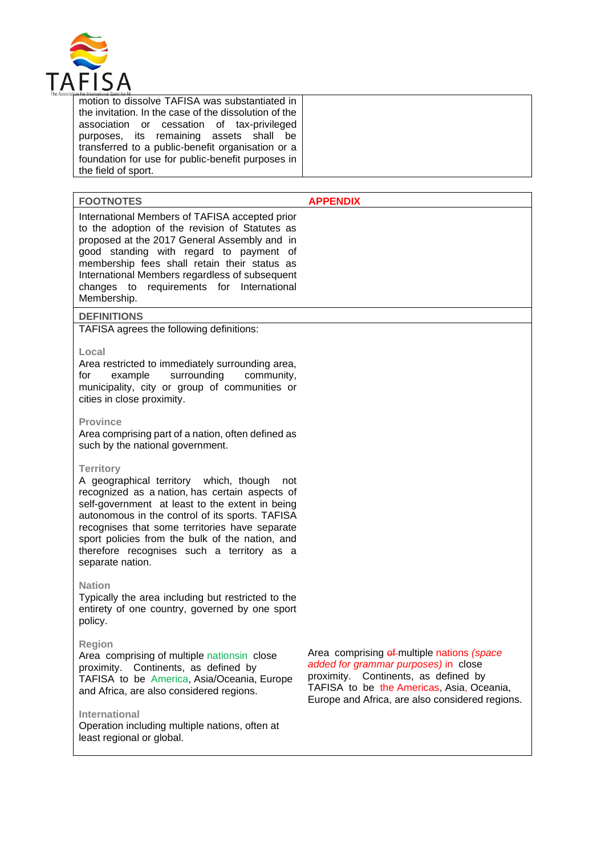

motion to dissolve TAFISA was substantiated in the invitation. In the case of the dissolution of the association or cessation of tax-privileged purposes, its remaining assets shall be transferred to a public-benefit organisation or a foundation for use for public-benefit purposes in the field of sport.

| <b>FOOTNOTES</b>                                                                                                                                                                                                                                                                                                                                          | <b>APPENDIX</b> |
|-----------------------------------------------------------------------------------------------------------------------------------------------------------------------------------------------------------------------------------------------------------------------------------------------------------------------------------------------------------|-----------------|
| International Members of TAFISA accepted prior<br>to the adoption of the revision of Statutes as<br>proposed at the 2017 General Assembly and in<br>good standing with regard to payment of<br>membership fees shall retain their status as<br>International Members regardless of subsequent<br>changes to requirements for International<br>Membership. |                 |

#### **DEFINITIONS**

TAFISA agrees the following definitions:

#### **Local**

Area restricted to immediately surrounding area, for example surrounding community, municipality, city or group of communities or cities in close proximity.

#### **Province**

Area comprising part of a nation, often defined as such by the national government.

#### **Territory**

A geographical territory which, though not recognized as a nation, has certain aspects of self-government at least to the extent in being autonomous in the control of its sports. TAFISA recognises that some territories have separate sport policies from the bulk of the nation, and therefore recognises such a territory as a separate nation.

#### **Nation**

Typically the area including but restricted to the entirety of one country, governed by one sport policy.

#### **Region**

Area comprising of multiple nationsin close proximity. Continents, as defined by TAFISA to be America, Asia/Oceania, Europe and Africa, are also considered regions.

#### **International**

Operation including multiple nations, often at least regional or global.

Area comprising  $e^f$ -multiple nations *(space added for grammar purposes)* in close proximity. Continents, as defined by TAFISA to be the Americas, Asia, Oceania, Europe and Africa, are also considered regions.